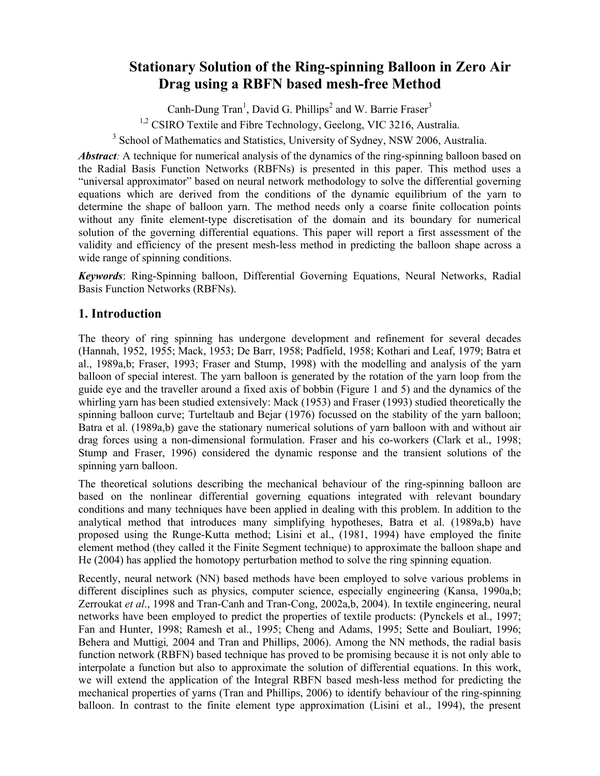# **Stationary Solution of the Ring-spinning Balloon in Zero Air Drag using a RBFN based mesh-free Method**

Canh-Dung Tran<sup>1</sup>, David G. Phillips<sup>2</sup> and W. Barrie Fraser<sup>3</sup>

<sup>1,2</sup> CSIRO Textile and Fibre Technology, Geelong, VIC 3216, Australia.

<sup>3</sup> School of Mathematics and Statistics, University of Sydney, NSW 2006, Australia.

*Abstract*: A technique for numerical analysis of the dynamics of the ring-spinning balloon based on the Radial Basis Function Networks (RBFNs) is presented in this paper. This method uses a "universal approximator" based on neural network methodology to solve the differential governing equations which are derived from the conditions of the dynamic equilibrium of the yarn to determine the shape of balloon yarn. The method needs only a coarse finite collocation points without any finite element-type discretisation of the domain and its boundary for numerical solution of the governing differential equations. This paper will report a first assessment of the validity and efficiency of the present mesh-less method in predicting the balloon shape across a wide range of spinning conditions.

*Keywords*: Ring-Spinning balloon, Differential Governing Equations, Neural Networks, Radial Basis Function Networks (RBFNs).

## **1. Introduction**

The theory of ring spinning has undergone development and refinement for several decades (Hannah, 1952, 1955; Mack, 1953; De Barr, 1958; Padfield, 1958; Kothari and Leaf, 1979; Batra et al., 1989a,b; Fraser, 1993; Fraser and Stump, 1998) with the modelling and analysis of the yarn balloon of special interest. The yarn balloon is generated by the rotation of the yarn loop from the guide eye and the traveller around a fixed axis of bobbin (Figure 1 and 5) and the dynamics of the whirling yarn has been studied extensively: Mack (1953) and Fraser (1993) studied theoretically the spinning balloon curve; Turteltaub and Bejar (1976) focussed on the stability of the yarn balloon; Batra et al. (1989a,b) gave the stationary numerical solutions of yarn balloon with and without air drag forces using a non-dimensional formulation. Fraser and his co-workers (Clark et al., 1998; Stump and Fraser, 1996) considered the dynamic response and the transient solutions of the spinning yarn balloon.

The theoretical solutions describing the mechanical behaviour of the ring-spinning balloon are based on the nonlinear differential governing equations integrated with relevant boundary conditions and many techniques have been applied in dealing with this problem. In addition to the analytical method that introduces many simplifying hypotheses, Batra et al. (1989a,b) have proposed using the Runge-Kutta method; Lisini et al., (1981, 1994) have employed the finite element method (they called it the Finite Segment technique) to approximate the balloon shape and He (2004) has applied the homotopy perturbation method to solve the ring spinning equation.

Recently, neural network (NN) based methods have been employed to solve various problems in different disciplines such as physics, computer science, especially engineering (Kansa, 1990a,b; Zerroukat *et al*., 1998 and Tran-Canh and Tran-Cong, 2002a,b, 2004). In textile engineering, neural networks have been employed to predict the properties of textile products: (Pynckels et al., 1997; Fan and Hunter, 1998; Ramesh et al., 1995; Cheng and Adams, 1995; Sette and Bouliart, 1996; Behera and Muttigi*,* 2004 and Tran and Phillips, 2006). Among the NN methods, the radial basis function network (RBFN) based technique has proved to be promising because it is not only able to interpolate a function but also to approximate the solution of differential equations. In this work, we will extend the application of the Integral RBFN based mesh-less method for predicting the mechanical properties of yarns (Tran and Phillips, 2006) to identify behaviour of the ring-spinning balloon. In contrast to the finite element type approximation (Lisini et al., 1994), the present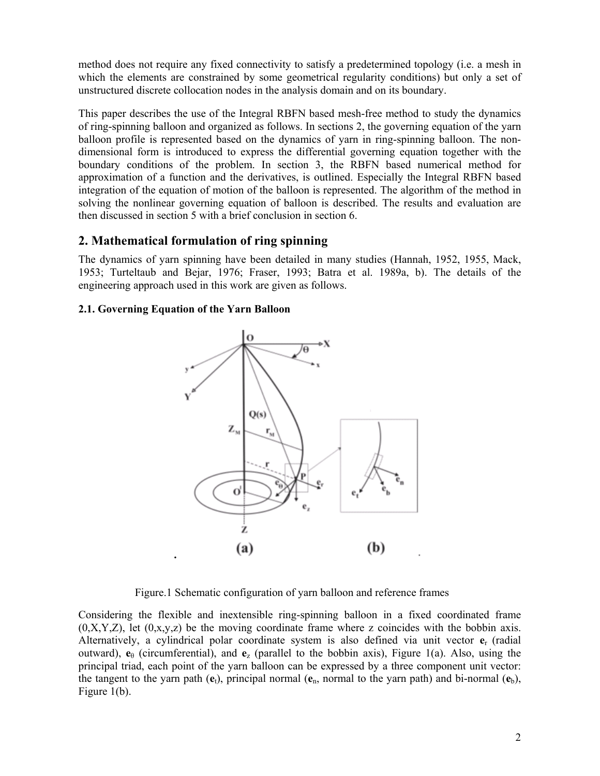method does not require any fixed connectivity to satisfy a predetermined topology (i.e. a mesh in which the elements are constrained by some geometrical regularity conditions) but only a set of unstructured discrete collocation nodes in the analysis domain and on its boundary.

This paper describes the use of the Integral RBFN based mesh-free method to study the dynamics of ring-spinning balloon and organized as follows. In sections 2, the governing equation of the yarn balloon profile is represented based on the dynamics of yarn in ring-spinning balloon. The nondimensional form is introduced to express the differential governing equation together with the boundary conditions of the problem. In section 3, the RBFN based numerical method for approximation of a function and the derivatives, is outlined. Especially the Integral RBFN based integration of the equation of motion of the balloon is represented. The algorithm of the method in solving the nonlinear governing equation of balloon is described. The results and evaluation are then discussed in section 5 with a brief conclusion in section 6.

## **2. Mathematical formulation of ring spinning**

The dynamics of yarn spinning have been detailed in many studies (Hannah, 1952, 1955, Mack, 1953; Turteltaub and Bejar, 1976; Fraser, 1993; Batra et al. 1989a, b). The details of the engineering approach used in this work are given as follows.

## **2.1. Governing Equation of the Yarn Balloon**



Figure.1 Schematic configuration of yarn balloon and reference frames

Considering the flexible and inextensible ring-spinning balloon in a fixed coordinated frame  $(0, X, Y, Z)$ , let  $(0, x, y, z)$  be the moving coordinate frame where z coincides with the bobbin axis. Alternatively, a cylindrical polar coordinate system is also defined via unit vector **e**r (radial outward), **e**θ (circumferential), and **e**z (parallel to the bobbin axis), Figure 1(a). Also, using the principal triad, each point of the yarn balloon can be expressed by a three component unit vector: the tangent to the yarn path (**e**t), principal normal (**e**n, normal to the yarn path) and bi-normal (**e**b), Figure 1(b).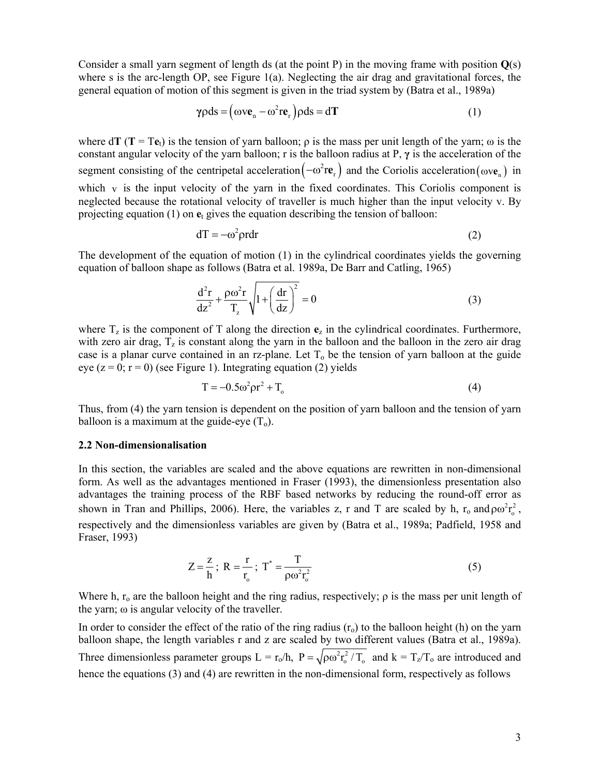Consider a small yarn segment of length ds (at the point P) in the moving frame with position **Q**(s) where s is the arc-length OP, see Figure 1(a). Neglecting the air drag and gravitational forces, the general equation of motion of this segment is given in the triad system by (Batra et al., 1989a)

$$
\gamma \rho ds = \left( \omega v \mathbf{e}_n - \omega^2 r \mathbf{e}_r \right) \rho ds = d\mathbf{T}
$$
 (1)

where  $dT (T = Te<sub>t</sub>)$  is the tension of yarn balloon; *ρ* is the mass per unit length of the yarn; ω is the constant angular velocity of the yarn balloon; r is the balloon radius at P, **γ** is the acceleration of the segment consisting of the centripetal acceleration  $(-\omega^2 r \mathbf{e}_r)$  and the Coriolis acceleration  $(\omega v \mathbf{e}_n)$  in which v is the input velocity of the yarn in the fixed coordinates. This Coriolis component is neglected because the rotational velocity of traveller is much higher than the input velocity v. By projecting equation (1) on **e**t gives the equation describing the tension of balloon:

$$
dT = -\omega^2 \rho r dr \tag{2}
$$

The development of the equation of motion (1) in the cylindrical coordinates yields the governing equation of balloon shape as follows (Batra et al. 1989a, De Barr and Catling, 1965)

$$
\frac{d^2r}{dz^2} + \frac{\rho\omega^2r}{T_z} \sqrt{1 + \left(\frac{dr}{dz}\right)^2} = 0
$$
\n(3)

where  $T_z$  is the component of T along the direction  $\mathbf{e}_z$  in the cylindrical coordinates. Furthermore, with zero air drag,  $T_z$  is constant along the yarn in the balloon and the balloon in the zero air drag case is a planar curve contained in an rz-plane. Let  $T_0$  be the tension of yarn balloon at the guide eye ( $z = 0$ ;  $r = 0$ ) (see Figure 1). Integrating equation (2) yields

$$
T = -0.5\omega^2 \rho r^2 + T_o \tag{4}
$$

Thus, from (4) the yarn tension is dependent on the position of yarn balloon and the tension of yarn balloon is a maximum at the guide-eye  $(T_0)$ .

#### **2.2 Non-dimensionalisation**

In this section, the variables are scaled and the above equations are rewritten in non-dimensional form. As well as the advantages mentioned in Fraser (1993), the dimensionless presentation also advantages the training process of the RBF based networks by reducing the round-off error as shown in Tran and Phillips, 2006). Here, the variables z, r and T are scaled by h,  $r_0$  and  $\rho \omega^2 r_0^2$ , respectively and the dimensionless variables are given by (Batra et al., 1989a; Padfield, 1958 and Fraser, 1993)

$$
Z = \frac{z}{h}; R = \frac{r}{r_o}; T^* = \frac{T}{\rho \omega^2 r_o^2}
$$
 (5)

Where h,  $r_0$  are the balloon height and the ring radius, respectively;  $\rho$  is the mass per unit length of the yarn; ω is angular velocity of the traveller.

In order to consider the effect of the ratio of the ring radius  $(r_0)$  to the balloon height (h) on the yarn balloon shape, the length variables r and z are scaled by two different values (Batra et al., 1989a). Three dimensionless parameter groups  $L = r_0/h$ ,  $P = \sqrt{\rho \omega^2 r_0^2/T_0}$  and  $k = T_z/T_0$  are introduced and hence the equations (3) and (4) are rewritten in the non-dimensional form, respectively as follows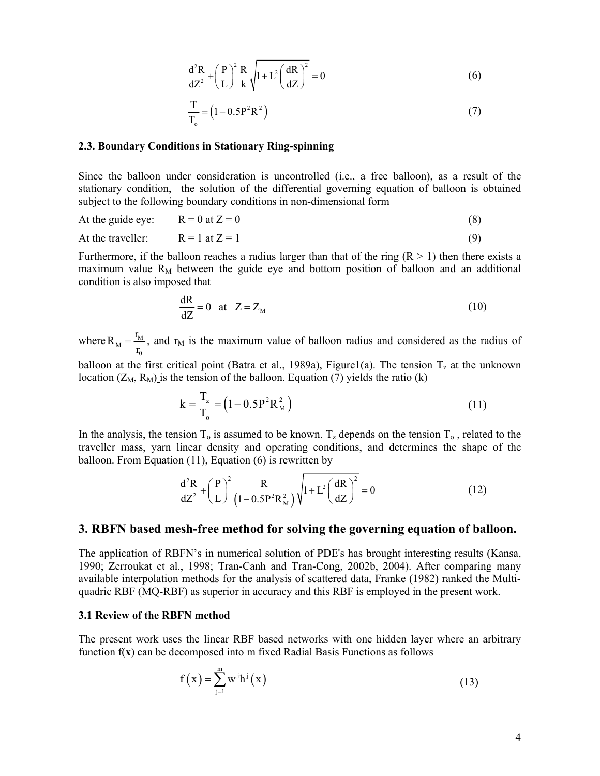$$
\frac{d^2R}{dZ^2} + \left(\frac{P}{L}\right)^2 \frac{R}{k} \sqrt{1 + L^2 \left(\frac{dR}{dZ}\right)^2} = 0
$$
\n(6)

$$
\frac{T}{T_o} = (1 - 0.5P^2R^2)
$$
\n<sup>(7)</sup>

#### **2.3. Boundary Conditions in Stationary Ring-spinning**

Since the balloon under consideration is uncontrolled (i.e., a free balloon), as a result of the stationary condition, the solution of the differential governing equation of balloon is obtained subject to the following boundary conditions in non-dimensional form

At the guide eye: 
$$
R = 0
$$
 at  $Z = 0$  (8)

At the traveller: 
$$
R = 1
$$
 at  $Z = 1$  (9)

Furthermore, if the balloon reaches a radius larger than that of the ring  $(R > 1)$  then there exists a maximum value  $R_M$  between the guide eye and bottom position of balloon and an additional condition is also imposed that

$$
\frac{dR}{dZ} = 0 \quad \text{at} \quad Z = Z_M \tag{10}
$$

where R<sub>M</sub> =  $\frac{I_{\rm M}}{I}$ 0  $R_M = \frac{r_M}{r_0}$ , and  $r_M$  is the maximum value of balloon radius and considered as the radius of

balloon at the first critical point (Batra et al., 1989a), Figure1(a). The tension  $T_z$  at the unknown location  $(Z_M, R_M)$  is the tension of the balloon. Equation (7) yields the ratio (k)

$$
k = \frac{T_z}{T_o} = (1 - 0.5P^2 R_M^2)
$$
 (11)

In the analysis, the tension  $T_0$  is assumed to be known.  $T_z$  depends on the tension  $T_0$ , related to the traveller mass, yarn linear density and operating conditions, and determines the shape of the balloon. From Equation (11), Equation (6) is rewritten by

$$
\frac{d^{2}R}{dZ^{2}} + \left(\frac{P}{L}\right)^{2} \frac{R}{(1 - 0.5P^{2}R_{M}^{2})} \sqrt{1 + L^{2} \left(\frac{dR}{dZ}\right)^{2}} = 0
$$
\n(12)

#### **3. RBFN based mesh-free method for solving the governing equation of balloon.**

The application of RBFN's in numerical solution of PDE's has brought interesting results (Kansa, 1990; Zerroukat et al., 1998; Tran-Canh and Tran-Cong, 2002b, 2004). After comparing many available interpolation methods for the analysis of scattered data, Franke (1982) ranked the Multiquadric RBF (MQ-RBF) as superior in accuracy and this RBF is employed in the present work.

#### **3.1 Review of the RBFN method**

The present work uses the linear RBF based networks with one hidden layer where an arbitrary function f(**x**) can be decomposed into m fixed Radial Basis Functions as follows

$$
f(x) = \sum_{j=1}^{m} w^{j} h^{j}(x)
$$
 (13)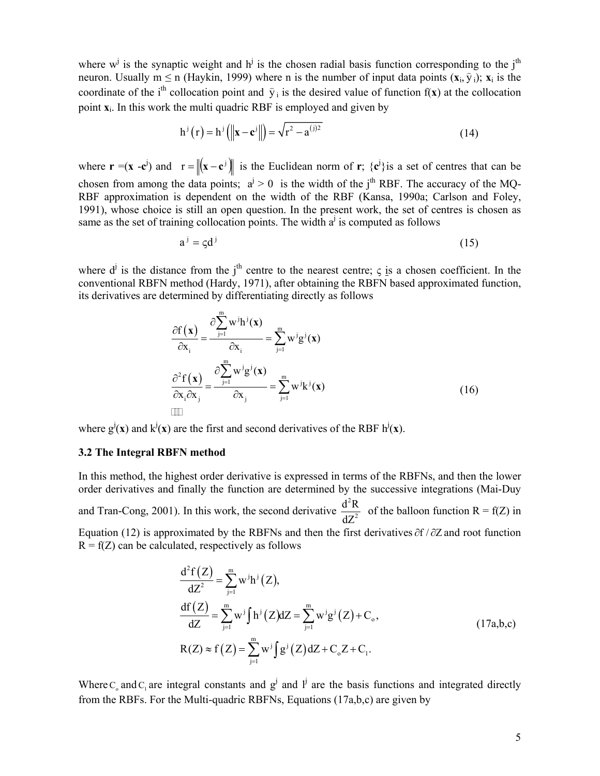where  $w^{j}$  is the synaptic weight and  $h^{j}$  is the chosen radial basis function corresponding to the j<sup>th</sup> neuron. Usually  $m \le n$  (Haykin, 1999) where n is the number of input data points  $(\mathbf{x}_i, \hat{y}_i)$ ;  $\mathbf{x}_i$  is the coordinate of the i<sup>th</sup> collocation point and  $\hat{y}_i$  is the desired value of function  $f(x)$  at the collocation point **x**i. In this work the multi quadric RBF is employed and given by

$$
h^{j}(r) = h^{j}(\Vert \mathbf{x} - \mathbf{c}^{j} \Vert) = \sqrt{r^{2} - a^{(j)2}}
$$
 (14)

where  $\mathbf{r} = (\mathbf{x} - \mathbf{c}^{\mathsf{j}})$  and  $\mathbf{r} = ||(\mathbf{x} - \mathbf{c}^{\mathsf{j}}||)$  is the Euclidean norm of **r**;  $\{\mathbf{c}^{\mathsf{j}}\}$  is a set of centres that can be chosen from among the data points;  $a^{j} > 0$  is the width of the j<sup>th</sup> RBF. The accuracy of the MQ-RBF approximation is dependent on the width of the RBF (Kansa, 1990a; Carlson and Foley, 1991), whose choice is still an open question. In the present work, the set of centres is chosen as same as the set of training collocation points. The width  $a^j$  is computed as follows

$$
a^j = \zeta d^j \tag{15}
$$

where  $d^{j}$  is the distance from the j<sup>th</sup> centre to the nearest centre;  $\zeta$  is a chosen coefficient. In the conventional RBFN method (Hardy, 1971), after obtaining the RBFN based approximated function, its derivatives are determined by differentiating directly as follows

$$
\frac{\partial f(\mathbf{x})}{\partial x_i} = \frac{\partial \sum_{j=1}^{m} w^j h^j(\mathbf{x})}{\partial x_i} = \sum_{j=1}^{m} w^j g^j(\mathbf{x})
$$

$$
\frac{\partial^2 f(\mathbf{x})}{\partial x_i \partial x_j} = \frac{\partial \sum_{j=1}^{m} w^j g^j(\mathbf{x})}{\partial x_j} = \sum_{j=1}^{m} w^j k^j(\mathbf{x})
$$
(16)

where  $g^{j}(x)$  and  $k^{j}(x)$  are the first and second derivatives of the RBF  $h^{j}(x)$ .

#### **3.2 The Integral RBFN method**

In this method, the highest order derivative is expressed in terms of the RBFNs, and then the lower order derivatives and finally the function are determined by the successive integrations (Mai-Duy and Tran-Cong, 2001). In this work, the second derivative 2 2  $\frac{d^2R}{dZ^2}$  of the balloon function R = f(Z) in Equation (12) is approximated by the RBFNs and then the first derivatives  $\partial f/\partial Z$  and root function  $R = f(Z)$  can be calculated, respectively as follows

$$
\frac{d^{2}f(Z)}{dz^{2}} = \sum_{j=1}^{m} w^{j}h^{j}(Z),
$$
\n
$$
\frac{df(Z)}{dz} = \sum_{j=1}^{m} w^{j} \int h^{j}(Z) dZ = \sum_{j=1}^{m} w^{j}g^{j}(Z) + C_{o},
$$
\n
$$
R(Z) \approx f(Z) = \sum_{j=1}^{m} w^{j} \int g^{j}(Z) dZ + C_{o}Z + C_{1}.
$$
\n(17a,b,c)

Where C<sub>o</sub> and C<sub>1</sub> are integral constants and  $g^j$  and  $l^j$  are the basis functions and integrated directly from the RBFs. For the Multi-quadric RBFNs, Equations (17a,b,c) are given by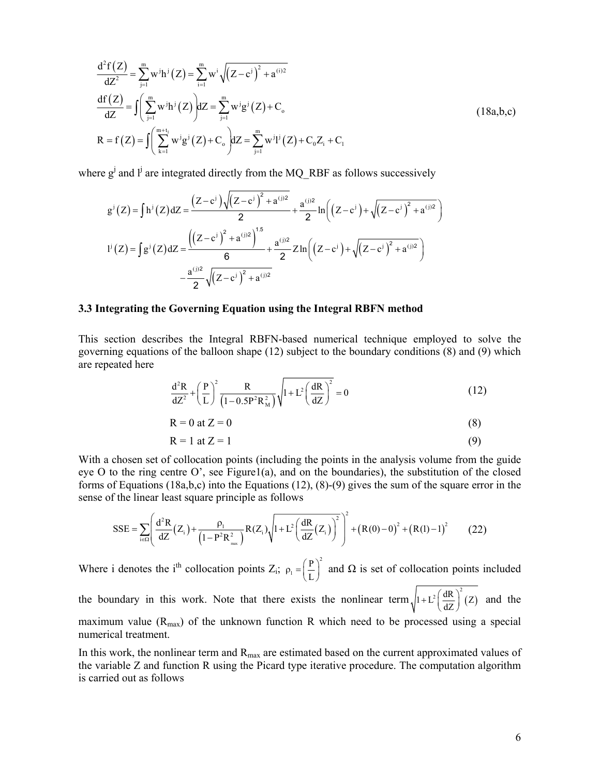$$
\frac{d^2 f(Z)}{dZ^2} = \sum_{j=1}^{m} w^j h^j(Z) = \sum_{i=1}^{m} w^i \sqrt{(Z - c^i)^2 + a^{(i)2}}
$$
  
\n
$$
\frac{df(Z)}{dZ} = \int \left( \sum_{j=1}^{m} w^j h^j(Z) \right) dZ = \sum_{j=1}^{m} w^j g^j(Z) + C_o
$$
  
\n
$$
R = f(Z) = \int \left( \sum_{k=1}^{m+t_1} w^j g^j(Z) + C_o \right) dZ = \sum_{j=1}^{m} w^j l^j(Z) + C_o Z_i + C_1
$$
\n(18a,b,c)

where  $g^j$  and  $l^j$  are integrated directly from the MQ\_RBF as follows successively

$$
g^{j}(Z) = \int h^{j}(Z) dZ = \frac{(Z - c^{j})\sqrt{(Z - c^{j})^{2} + a^{(j)2}}}{2} + \frac{a^{(j)2}}{2} \ln \left( (Z - c^{j}) + \sqrt{(Z - c^{j})^{2} + a^{(j)2}} \right)
$$
  

$$
I^{j}(Z) = \int g^{j}(Z) dZ = \frac{\left( (Z - c^{j})^{2} + a^{(j)2} \right)^{1.5}}{6} + \frac{a^{(j)2}}{2} Z \ln \left( (Z - c^{j}) + \sqrt{(Z - c^{j})^{2} + a^{(j)2}} \right)
$$

$$
- \frac{a^{(j)2}}{2} \sqrt{(Z - c^{j})^{2} + a^{(j)2}}
$$

#### **3.3 Integrating the Governing Equation using the Integral RBFN method**

This section describes the Integral RBFN-based numerical technique employed to solve the governing equations of the balloon shape (12) subject to the boundary conditions (8) and (9) which are repeated here

$$
\frac{d^2R}{dZ^2} + \left(\frac{P}{L}\right)^2 \frac{R}{\left(1 - 0.5P^2R_M^2\right)} \sqrt{1 + L^2 \left(\frac{dR}{dZ}\right)^2} = 0
$$
\n(12)

$$
R = 0 \text{ at } Z = 0 \tag{8}
$$

$$
R = 1 \text{ at } Z = 1 \tag{9}
$$

With a chosen set of collocation points (including the points in the analysis volume from the guide eye O to the ring centre  $O'$ , see Figure1(a), and on the boundaries), the substitution of the closed forms of Equations (18a,b,c) into the Equations (12), (8)-(9) gives the sum of the square error in the sense of the linear least square principle as follows

$$
SSE = \sum_{i \in \Omega} \left( \frac{d^2 R}{dZ} (Z_i) + \frac{\rho_1}{\left(1 - P^2 R_{max}^2\right)} R(Z_i) \sqrt{1 + L^2 \left(\frac{dR}{dZ} (Z_i)\right)^2} \right)^2 + \left(R(0) - 0\right)^2 + \left(R(1) - 1\right)^2 \tag{22}
$$

Where i denotes the i<sup>th</sup> collocation points  $Z_i$ ;  $\rho_i = \left(\frac{P}{I}\right)^2$  $\frac{1}{1} = \frac{P}{T}$ L  $\rho_1 = \left(\frac{P}{L}\right)^2$  and  $\Omega$  is set of collocation points included

the boundary in this work. Note that there exists the nonlinear term  $\sqrt{1+L^2 \left(\frac{dR}{dZ}\right)^2}$  (Z) and the maximum value  $(R_{max})$  of the unknown function R which need to be processed using a special numerical treatment.

In this work, the nonlinear term and  $R_{\text{max}}$  are estimated based on the current approximated values of the variable Z and function R using the Picard type iterative procedure. The computation algorithm is carried out as follows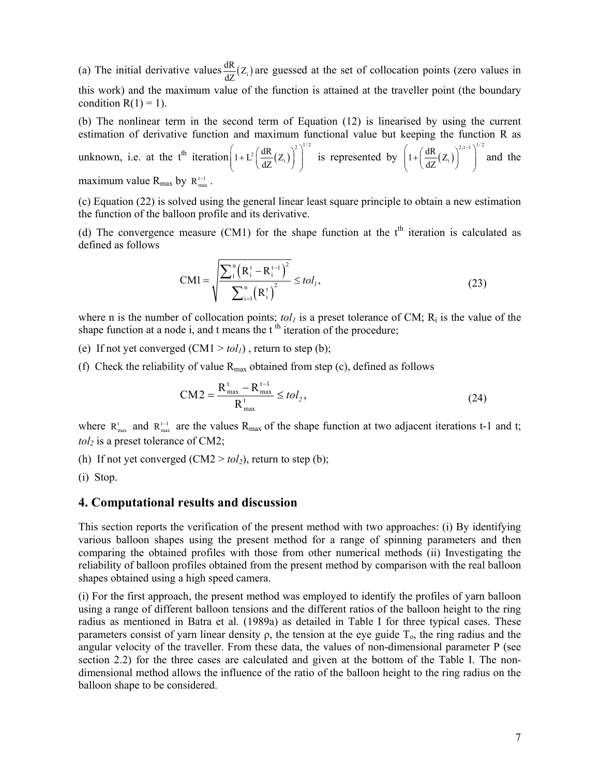(a) The initial derivative values  $\frac{dR}{dZ}(Z_i)$  are guessed at the set of collocation points (zero values in this work) and the maximum value of the function is attained at the traveller point (the boundary condition  $R(1) = 1$ ).

(b) The nonlinear term in the second term of Equation (12) is linearised by using the current estimation of derivative function and maximum functional value but keeping the function R as 2, t –1  $\setminus$ <sup>1/2</sup>

unknown, i.e. at the t<sup>th</sup> iteration  $\left(1+L^2\left(\frac{dR}{dZ}(Z_i)\right)^2\right)^{1/2}$  is represented by  $\left(1+\left(\frac{dR}{dZ}(Z_i)\right)^2\right)^{1/2}$  $\left(1+\left(\frac{dR}{dZ}(Z_i)\right)^{2,t-1}\right)^{1/2}$  and the maximum value  $R_{\text{max}}$  by  $R_{\text{max}}^{t-1}$ .

(c) Equation (22) is solved using the general linear least square principle to obtain a new estimation the function of the balloon profile and its derivative.

(d) The convergence measure (CM1) for the shape function at the  $t<sup>th</sup>$  iteration is calculated as defined as follows

$$
CMI = \sqrt{\frac{\sum_{i}^{n} (R_{i}^{t} - R_{i}^{t-1})^{2}}{\sum_{i=1}^{n} (R_{i}^{t})^{2}}} \leq tol_{1},
$$
\n(23)

where n is the number of collocation points;  $tol<sub>l</sub>$  is a preset tolerance of CM;  $R<sub>i</sub>$  is the value of the shape function at a node i, and t means the  $t<sup>th</sup>$  iteration of the procedure;

- (e) If not yet converged  $(CM1 > tol<sub>l</sub>)$ , return to step (b);
- (f) Check the reliability of value  $R_{\text{max}}$  obtained from step (c), defined as follows

$$
CM2 = \frac{R_{\text{max}}^t - R_{\text{max}}^{t-1}}{R_{\text{max}}^t} \leq tol_2,
$$
 (24)

where  $R_{max}^t$  and  $R_{max}^{t-1}$  are the values  $R_{max}$  of the shape function at two adjacent iterations t-1 and t;  $tol_2$  is a preset tolerance of CM2;

(h) If not yet converged  $(CM2 > tol<sub>2</sub>)$ , return to step (b);

(i) Stop.

#### **4. Computational results and discussion**

This section reports the verification of the present method with two approaches: (i) By identifying various balloon shapes using the present method for a range of spinning parameters and then comparing the obtained profiles with those from other numerical methods (ii) Investigating the reliability of balloon profiles obtained from the present method by comparison with the real balloon shapes obtained using a high speed camera.

(i) For the first approach, the present method was employed to identify the profiles of yarn balloon using a range of different balloon tensions and the different ratios of the balloon height to the ring radius as mentioned in Batra et al. (1989a) as detailed in Table I for three typical cases. These parameters consist of yarn linear density  $\rho$ , the tension at the eye guide  $T_0$ , the ring radius and the angular velocity of the traveller. From these data, the values of non-dimensional parameter P (see section 2.2) for the three cases are calculated and given at the bottom of the Table I. The nondimensional method allows the influence of the ratio of the balloon height to the ring radius on the balloon shape to be considered.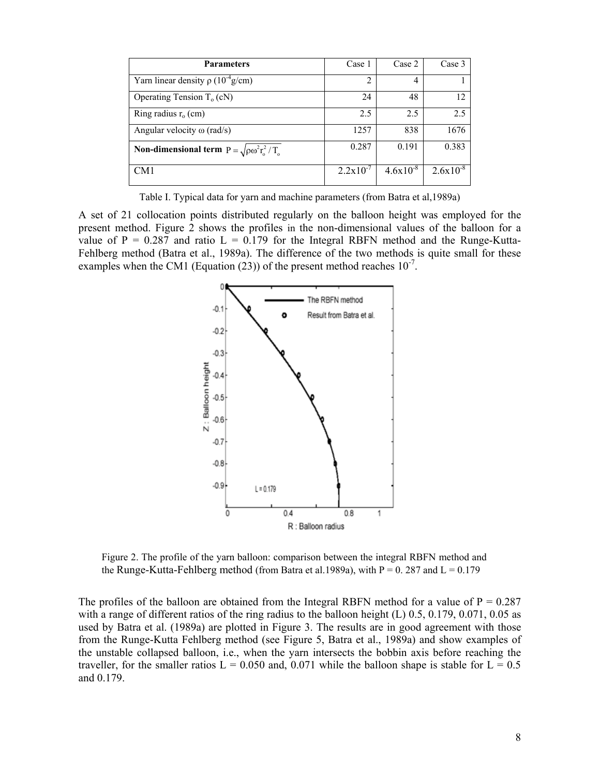| <b>Parameters</b>                                                | Case 1               | Case 2        | Case 3        |
|------------------------------------------------------------------|----------------------|---------------|---------------|
| Yarn linear density $\rho (10^{-4} \text{g/cm})$                 | $\overline{c}$       | 4             |               |
| Operating Tension $T_0$ (cN)                                     | 24                   | 48            | 12            |
| Ring radius $r_0$ (cm)                                           | 2.5                  | 2.5           | 2.5           |
| Angular velocity $\omega$ (rad/s)                                | 1257                 | 838           | 1676          |
| <b>Non-dimensional term</b> $P = \sqrt{\rho \omega^2 r_0^2/T_0}$ | 0.287                | 0.191         | 0.383         |
| CM1                                                              | $2.2 \times 10^{-7}$ | $4.6x10^{-8}$ | $2.6x10^{-8}$ |

Table I. Typical data for yarn and machine parameters (from Batra et al,1989a)

A set of 21 collocation points distributed regularly on the balloon height was employed for the present method. Figure 2 shows the profiles in the non-dimensional values of the balloon for a value of  $P = 0.287$  and ratio  $L = 0.179$  for the Integral RBFN method and the Runge-Kutta-Fehlberg method (Batra et al., 1989a). The difference of the two methods is quite small for these examples when the CM1 (Equation (23)) of the present method reaches  $10^{-7}$ .



Figure 2. The profile of the yarn balloon: comparison between the integral RBFN method and the Runge-Kutta-Fehlberg method (from Batra et al.1989a), with  $P = 0.287$  and  $L = 0.179$ 

The profiles of the balloon are obtained from the Integral RBFN method for a value of  $P = 0.287$ with a range of different ratios of the ring radius to the balloon height (L) 0.5, 0.179, 0.071, 0.05 as used by Batra et al. (1989a) are plotted in Figure 3. The results are in good agreement with those from the Runge-Kutta Fehlberg method (see Figure 5, Batra et al., 1989a) and show examples of the unstable collapsed balloon, i.e., when the yarn intersects the bobbin axis before reaching the traveller, for the smaller ratios  $L = 0.050$  and, 0.071 while the balloon shape is stable for  $L = 0.5$ and 0.179.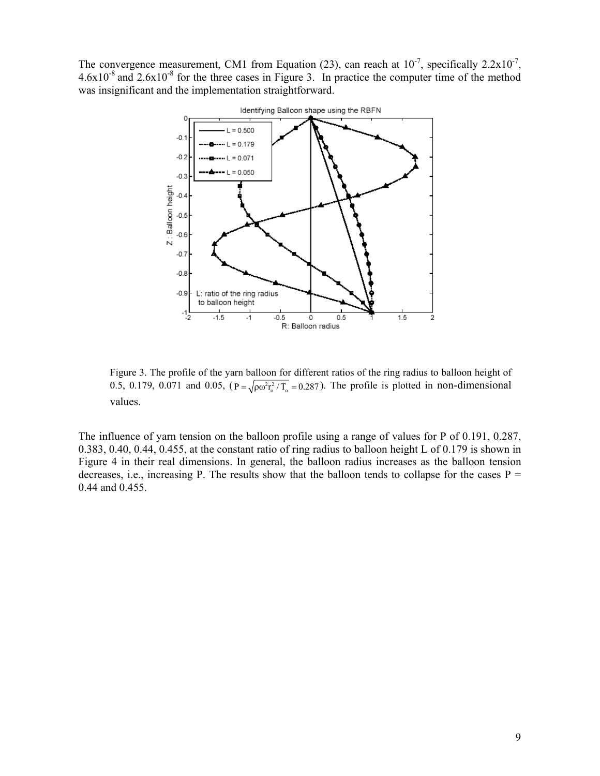The convergence measurement, CM1 from Equation (23), can reach at  $10^{-7}$ , specifically  $2.2 \times 10^{-7}$ ,  $4.6x10^{-8}$  and  $2.6x10^{-8}$  for the three cases in Figure 3. In practice the computer time of the method was insignificant and the implementation straightforward.



Figure 3. The profile of the yarn balloon for different ratios of the ring radius to balloon height of 0.5, 0.179, 0.071 and 0.05,  $(p = \sqrt{\rho \omega^2 r_o^2/T_o} = 0.287)$ . The profile is plotted in non-dimensional values.

The influence of yarn tension on the balloon profile using a range of values for P of 0.191, 0.287, 0.383, 0.40, 0.44, 0.455, at the constant ratio of ring radius to balloon height L of 0.179 is shown in Figure 4 in their real dimensions. In general, the balloon radius increases as the balloon tension decreases, i.e., increasing P. The results show that the balloon tends to collapse for the cases  $P =$ 0.44 and 0.455.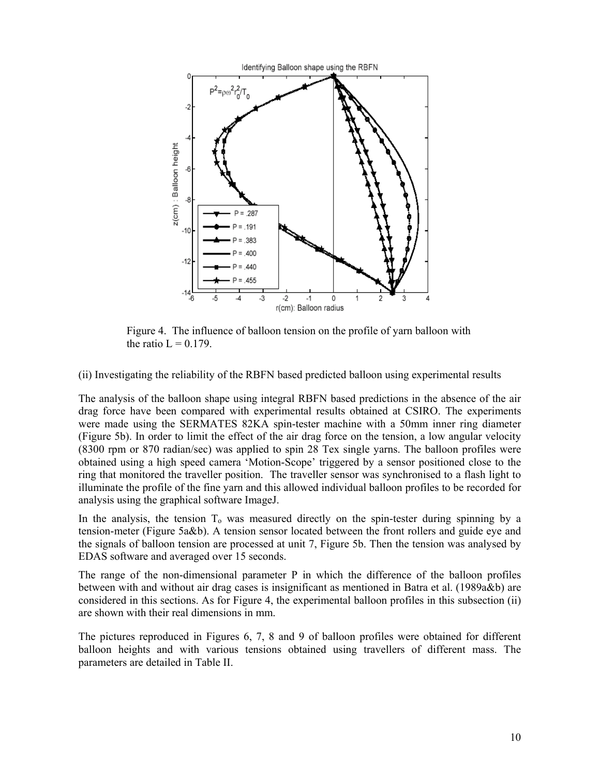

Figure 4. The influence of balloon tension on the profile of yarn balloon with the ratio  $L = 0.179$ .

(ii) Investigating the reliability of the RBFN based predicted balloon using experimental results

The analysis of the balloon shape using integral RBFN based predictions in the absence of the air drag force have been compared with experimental results obtained at CSIRO. The experiments were made using the SERMATES 82KA spin-tester machine with a 50mm inner ring diameter (Figure 5b). In order to limit the effect of the air drag force on the tension, a low angular velocity (8300 rpm or 870 radian/sec) was applied to spin 28 Tex single yarns. The balloon profiles were obtained using a high speed camera 'Motion-Scope' triggered by a sensor positioned close to the ring that monitored the traveller position. The traveller sensor was synchronised to a flash light to illuminate the profile of the fine yarn and this allowed individual balloon profiles to be recorded for analysis using the graphical software ImageJ.

In the analysis, the tension  $T<sub>o</sub>$  was measured directly on the spin-tester during spinning by a tension-meter (Figure 5a&b). A tension sensor located between the front rollers and guide eye and the signals of balloon tension are processed at unit 7, Figure 5b. Then the tension was analysed by EDAS software and averaged over 15 seconds.

The range of the non-dimensional parameter P in which the difference of the balloon profiles between with and without air drag cases is insignificant as mentioned in Batra et al. (1989a&b) are considered in this sections. As for Figure 4, the experimental balloon profiles in this subsection (ii) are shown with their real dimensions in mm.

The pictures reproduced in Figures 6, 7, 8 and 9 of balloon profiles were obtained for different balloon heights and with various tensions obtained using travellers of different mass. The parameters are detailed in Table II.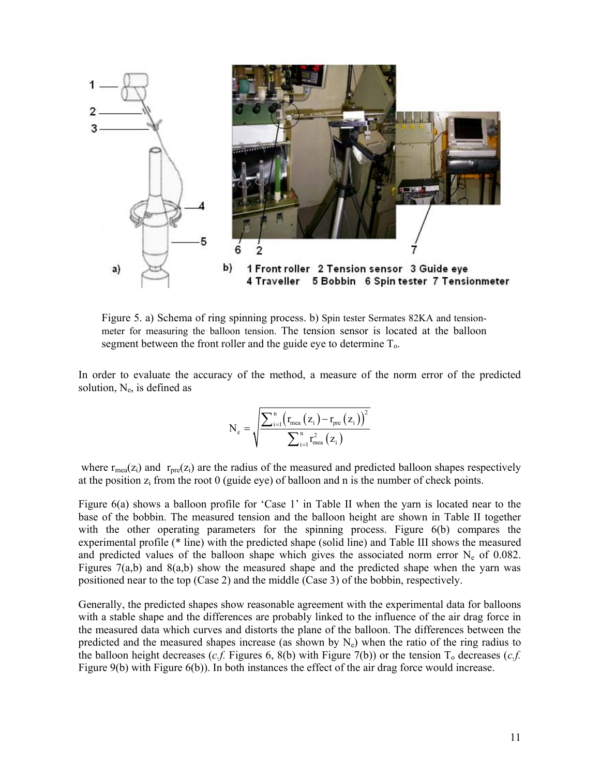

Figure 5. a) Schema of ring spinning process. b) Spin tester Sermates 82KA and tensionmeter for measuring the balloon tension. The tension sensor is located at the balloon segment between the front roller and the guide eye to determine  $T<sub>o</sub>$ .

In order to evaluate the accuracy of the method, a measure of the norm error of the predicted solution, Ne, is defined as

$$
N_{e}=\sqrt{\frac{\sum_{i=1}^{n}\Big(r_{\textrm{mea}}\left(z_{i}\right)-r_{\textrm{pre}}\left(z_{i}\right)\Big)^{2}}{\sum_{i=1}^{n}r_{\textrm{mea}}^{2}\left(z_{i}\right)}}
$$

where  $r_{mea}(z_i)$  and  $r_{pre}(z_i)$  are the radius of the measured and predicted balloon shapes respectively at the position  $z_i$  from the root 0 (guide eye) of balloon and n is the number of check points.

Figure 6(a) shows a balloon profile for 'Case 1' in Table II when the yarn is located near to the base of the bobbin. The measured tension and the balloon height are shown in Table II together with the other operating parameters for the spinning process. Figure 6(b) compares the experimental profile (\* line) with the predicted shape (solid line) and Table III shows the measured and predicted values of the balloon shape which gives the associated norm error  $N_e$  of 0.082. Figures  $7(a,b)$  and  $8(a,b)$  show the measured shape and the predicted shape when the yarn was positioned near to the top (Case 2) and the middle (Case 3) of the bobbin, respectively.

Generally, the predicted shapes show reasonable agreement with the experimental data for balloons with a stable shape and the differences are probably linked to the influence of the air drag force in the measured data which curves and distorts the plane of the balloon. The differences between the predicted and the measured shapes increase (as shown by  $N_e$ ) when the ratio of the ring radius to the balloon height decreases (*c.f.* Figures 6, 8(b) with Figure 7(b)) or the tension  $T_0$  decreases (*c.f.* Figure 9(b) with Figure 6(b)). In both instances the effect of the air drag force would increase.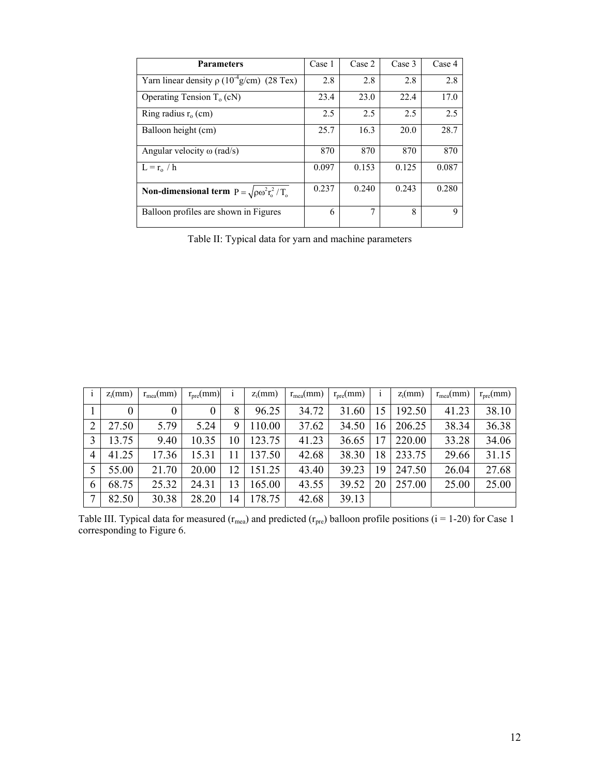| <b>Parameters</b>                                                         | Case 1 | Case 2 | Case 3 | Case 4 |
|---------------------------------------------------------------------------|--------|--------|--------|--------|
| Yarn linear density $\rho (10^{-4} \frac{g}{\text{cm}}) (28 \text{ Tex})$ | 2.8    | 2.8    | 2.8    | 2.8    |
| Operating Tension $T_0$ (cN)                                              | 23.4   | 23.0   | 22.4   | 17.0   |
| Ring radius $r_0$ (cm)                                                    | 2.5    | 2.5    | 2.5    | 2.5    |
| Balloon height (cm)                                                       | 25.7   | 16.3   | 20.0   | 28.7   |
| Angular velocity $\omega$ (rad/s)                                         | 870    | 870    | 870    | 870    |
| $L = r_0 / h$                                                             | 0.097  | 0.153  | 0.125  | 0.087  |
| <b>Non-dimensional term</b> $P = \sqrt{\rho \omega^2 r_0^2/T_0}$          | 0.237  | 0.240  | 0.243  | 0.280  |
| Balloon profiles are shown in Figures                                     | 6      | 7      | 8      | 9      |

Table II: Typical data for yarn and machine parameters

|                | $z_i$ (mm)     | $r_{\text{mea}}$ (mm) | $r_{\rm pre}(mm)$ |    | $z_i$ (mm) | $r_{\text{mea}}$ (mm) | $r_{pre}(mm)$ |    | $z_i$ (mm) | $r_{\text{mea}}$ (mm) | $r_{pre}(mm)$ |
|----------------|----------------|-----------------------|-------------------|----|------------|-----------------------|---------------|----|------------|-----------------------|---------------|
|                | $\overline{0}$ | $\theta$              | $\theta$          | 8  | 96.25      | 34.72                 | 31.60         | 15 | 192.50     | 41.23                 | 38.10         |
| $\overline{2}$ | 27.50          | 5.79                  | 5.24              | 9  | 110.00     | 37.62                 | 34.50         | 16 | 206.25     | 38.34                 | 36.38         |
| 3              | 13.75          | 9.40                  | 10.35             | 10 | 123.75     | 41.23                 | 36.65         | 17 | 220.00     | 33.28                 | 34.06         |
| $\overline{4}$ | 41.25          | 17.36                 | 15.31             | 11 | 137.50     | 42.68                 | 38.30         | 18 | 233.75     | 29.66                 | 31.15         |
| 5              | 55.00          | 21.70                 | 20.00             | 12 | 151.25     | 43.40                 | 39.23         | 19 | 247.50     | 26.04                 | 27.68         |
| 6              | 68.75          | 25.32                 | 24.31             | 13 | 165.00     | 43.55                 | 39.52         | 20 | 257.00     | 25.00                 | 25.00         |
| 7              | 82.50          | 30.38                 | 28.20             | 14 | 178.75     | 42.68                 | 39.13         |    |            |                       |               |

Table III. Typical data for measured ( $r_{mea}$ ) and predicted ( $r_{pre}$ ) balloon profile positions (i = 1-20) for Case 1 corresponding to Figure 6.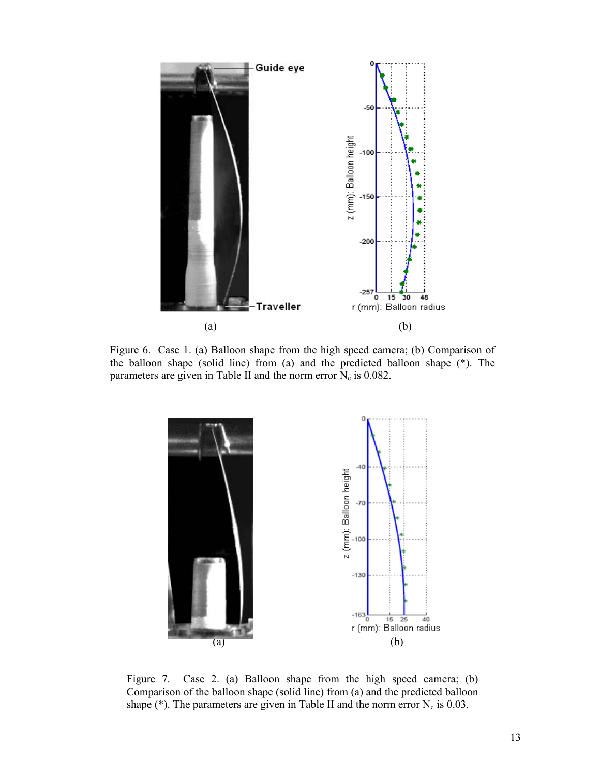

Figure 6. Case 1. (a) Balloon shape from the high speed camera; (b) Comparison of the balloon shape (solid line) from (a) and the predicted balloon shape (\*). The parameters are given in Table II and the norm error  $N_e$  is 0.082.



Figure 7. Case 2. (a) Balloon shape from the high speed camera; (b) Comparison of the balloon shape (solid line) from (a) and the predicted balloon shape (\*). The parameters are given in Table II and the norm error  $N_e$  is 0.03.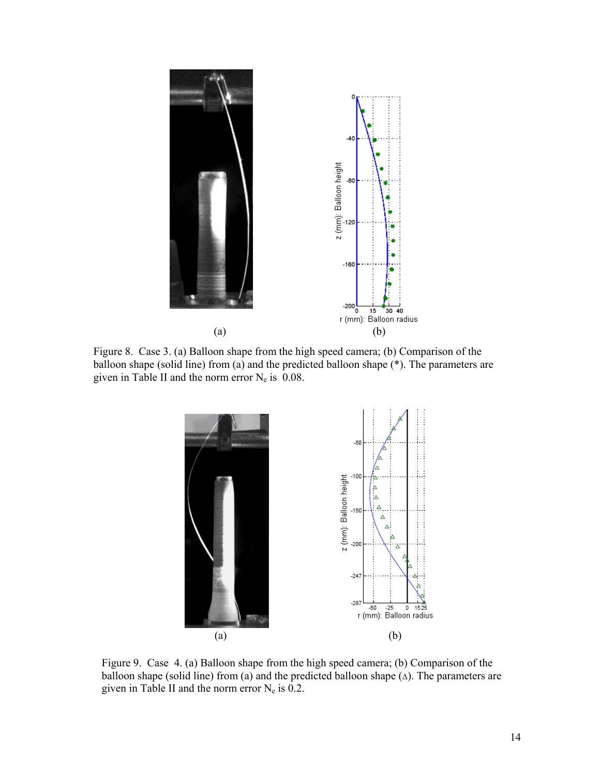

Figure 8. Case 3. (a) Balloon shape from the high speed camera; (b) Comparison of the balloon shape (solid line) from (a) and the predicted balloon shape (\*). The parameters are given in Table II and the norm error  $N_e$  is 0.08.



Figure 9. Case 4. (a) Balloon shape from the high speed camera; (b) Comparison of the balloon shape (solid line) from (a) and the predicted balloon shape (∆). The parameters are given in Table II and the norm error  $N_e$  is 0.2.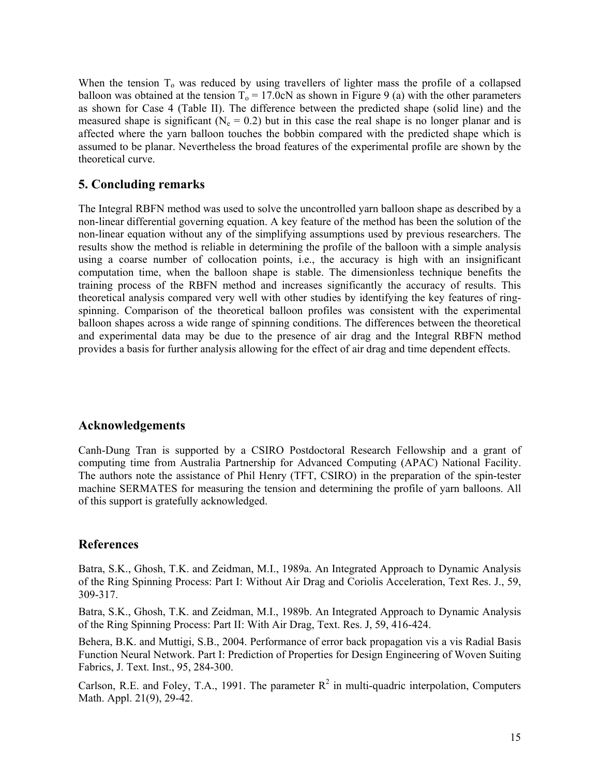When the tension  $T_0$  was reduced by using travellers of lighter mass the profile of a collapsed balloon was obtained at the tension  $T_0 = 17.0$ cN as shown in Figure 9 (a) with the other parameters as shown for Case 4 (Table II). The difference between the predicted shape (solid line) and the measured shape is significant ( $N_e = 0.2$ ) but in this case the real shape is no longer planar and is affected where the yarn balloon touches the bobbin compared with the predicted shape which is assumed to be planar. Nevertheless the broad features of the experimental profile are shown by the theoretical curve.

## **5. Concluding remarks**

The Integral RBFN method was used to solve the uncontrolled yarn balloon shape as described by a non-linear differential governing equation. A key feature of the method has been the solution of the non-linear equation without any of the simplifying assumptions used by previous researchers. The results show the method is reliable in determining the profile of the balloon with a simple analysis using a coarse number of collocation points, i.e., the accuracy is high with an insignificant computation time, when the balloon shape is stable. The dimensionless technique benefits the training process of the RBFN method and increases significantly the accuracy of results. This theoretical analysis compared very well with other studies by identifying the key features of ringspinning. Comparison of the theoretical balloon profiles was consistent with the experimental balloon shapes across a wide range of spinning conditions. The differences between the theoretical and experimental data may be due to the presence of air drag and the Integral RBFN method provides a basis for further analysis allowing for the effect of air drag and time dependent effects.

### **Acknowledgements**

Canh-Dung Tran is supported by a CSIRO Postdoctoral Research Fellowship and a grant of computing time from Australia Partnership for Advanced Computing (APAC) National Facility. The authors note the assistance of Phil Henry (TFT, CSIRO) in the preparation of the spin-tester machine SERMATES for measuring the tension and determining the profile of yarn balloons. All of this support is gratefully acknowledged.

### **References**

Batra, S.K., Ghosh, T.K. and Zeidman, M.I., 1989a. An Integrated Approach to Dynamic Analysis of the Ring Spinning Process: Part I: Without Air Drag and Coriolis Acceleration, Text Res. J., 59, 309-317.

Batra, S.K., Ghosh, T.K. and Zeidman, M.I., 1989b. An Integrated Approach to Dynamic Analysis of the Ring Spinning Process: Part II: With Air Drag, Text. Res. J, 59, 416-424.

Behera, B.K. and Muttigi, S.B., 2004. Performance of error back propagation vis a vis Radial Basis Function Neural Network. Part I: Prediction of Properties for Design Engineering of Woven Suiting Fabrics, J. Text. Inst., 95, 284-300.

Carlson, R.E. and Foley, T.A., 1991. The parameter  $R^2$  in multi-quadric interpolation, Computers Math. Appl. 21(9), 29-42.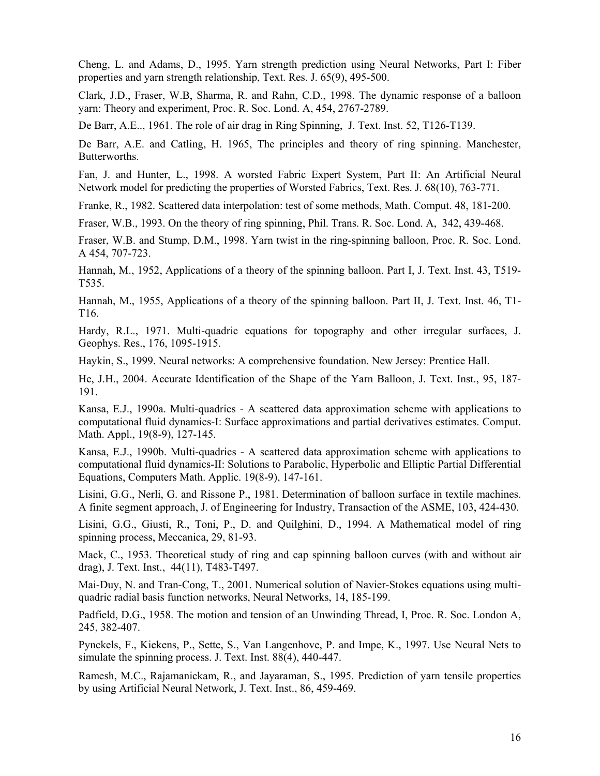Cheng, L. and Adams, D., 1995. Yarn strength prediction using Neural Networks, Part I: Fiber properties and yarn strength relationship, Text. Res. J. 65(9), 495-500.

Clark, J.D., Fraser, W.B, Sharma, R. and Rahn, C.D., 1998. The dynamic response of a balloon yarn: Theory and experiment, Proc. R. Soc. Lond. A, 454, 2767-2789.

De Barr, A.E.., 1961. The role of air drag in Ring Spinning, J. Text. Inst. 52, T126-T139.

De Barr, A.E. and Catling, H. 1965, The principles and theory of ring spinning. Manchester, Butterworths.

Fan, J. and Hunter, L., 1998. A worsted Fabric Expert System, Part II: An Artificial Neural Network model for predicting the properties of Worsted Fabrics, Text. Res. J. 68(10), 763-771.

Franke, R., 1982. Scattered data interpolation: test of some methods, Math. Comput. 48, 181-200.

Fraser, W.B., 1993. On the theory of ring spinning, Phil. Trans. R. Soc. Lond. A, 342, 439-468.

Fraser, W.B. and Stump, D.M., 1998. Yarn twist in the ring-spinning balloon, Proc. R. Soc. Lond. A 454, 707-723.

Hannah, M., 1952, Applications of a theory of the spinning balloon. Part I, J. Text. Inst. 43, T519- T535.

Hannah, M., 1955, Applications of a theory of the spinning balloon. Part II, J. Text. Inst. 46, T1- T16.

Hardy, R.L., 1971. Multi-quadric equations for topography and other irregular surfaces, J. Geophys. Res., 176, 1095-1915.

Haykin, S., 1999. Neural networks: A comprehensive foundation. New Jersey: Prentice Hall.

He, J.H., 2004. Accurate Identification of the Shape of the Yarn Balloon, J. Text. Inst., 95, 187- 191.

Kansa, E.J., 1990a. Multi-quadrics - A scattered data approximation scheme with applications to computational fluid dynamics-I: Surface approximations and partial derivatives estimates. Comput. Math. Appl., 19(8-9), 127-145.

Kansa, E.J., 1990b. Multi-quadrics - A scattered data approximation scheme with applications to computational fluid dynamics-II: Solutions to Parabolic, Hyperbolic and Elliptic Partial Differential Equations, Computers Math. Applic. 19(8-9), 147-161.

Lisini, G.G., Nerli, G. and Rissone P., 1981. Determination of balloon surface in textile machines. A finite segment approach, J. of Engineering for Industry, Transaction of the ASME, 103, 424-430.

Lisini, G.G., Giusti, R., Toni, P., D. and Quilghini, D., 1994. A Mathematical model of ring spinning process, Meccanica, 29, 81-93.

Mack, C., 1953. Theoretical study of ring and cap spinning balloon curves (with and without air drag), J. Text. Inst., 44(11), T483-T497.

Mai-Duy, N. and Tran-Cong, T., 2001. Numerical solution of Navier-Stokes equations using multiquadric radial basis function networks, Neural Networks, 14, 185-199.

Padfield, D.G., 1958. The motion and tension of an Unwinding Thread, I, Proc. R. Soc. London A, 245, 382-407.

Pynckels, F., Kiekens, P., Sette, S., Van Langenhove, P. and Impe, K., 1997. Use Neural Nets to simulate the spinning process. J. Text. Inst. 88(4), 440-447.

Ramesh, M.C., Rajamanickam, R., and Jayaraman, S., 1995. Prediction of yarn tensile properties by using Artificial Neural Network, J. Text. Inst., 86, 459-469.